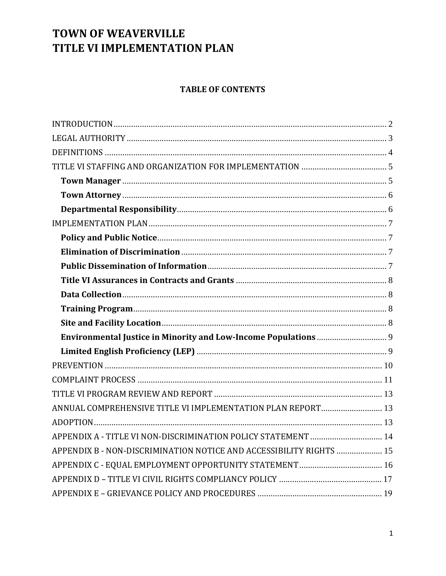### **TABLE OF CONTENTS**

| ANNUAL COMPREHENSIVE TITLE VI IMPLEMENTATION PLAN REPORT 13         |
|---------------------------------------------------------------------|
|                                                                     |
|                                                                     |
| APPENDIX B - NON-DISCRIMINATION NOTICE AND ACCESSIBILITY RIGHTS  15 |
|                                                                     |
|                                                                     |
|                                                                     |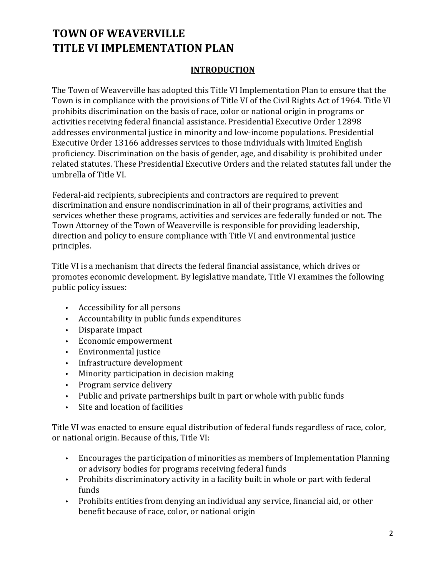### **INTRODUCTION**

The Town of Weaverville has adopted this Title VI Implementation Plan to ensure that the Town is in compliance with the provisions of Title VI of the Civil Rights Act of 1964. Title VI prohibits discrimination on the basis of race, color or national origin in programs or activities receiving federal financial assistance. Presidential Executive Order 12898 addresses environmental justice in minority and low-income populations. Presidential Executive Order 13166 addresses services to those individuals with limited English proficiency. Discrimination on the basis of gender, age, and disability is prohibited under related statutes. These Presidential Executive Orders and the related statutes fall under the umbrella of Title VI.

Federal-aid recipients, subrecipients and contractors are required to prevent discrimination and ensure nondiscrimination in all of their programs, activities and services whether these programs, activities and services are federally funded or not. The Town Attorney of the Town of Weaverville is responsible for providing leadership, direction and policy to ensure compliance with Title VI and environmental justice principles.

Title VI is a mechanism that directs the federal financial assistance, which drives or promotes economic development. By legislative mandate, Title VI examines the following public policy issues:

- Accessibility for all persons
- Accountability in public funds expenditures
- Disparate impact
- Economic empowerment
- Environmental justice
- Infrastructure development
- Minority participation in decision making
- Program service delivery
- Public and private partnerships built in part or whole with public funds
- Site and location of facilities

Title VI was enacted to ensure equal distribution of federal funds regardless of race, color, or national origin. Because of this, Title VI:

- Encourages the participation of minorities as members of Implementation Planning or advisory bodies for programs receiving federal funds
- Prohibits discriminatory activity in a facility built in whole or part with federal funds
- Prohibits entities from denying an individual any service, financial aid, or other benefit because of race, color, or national origin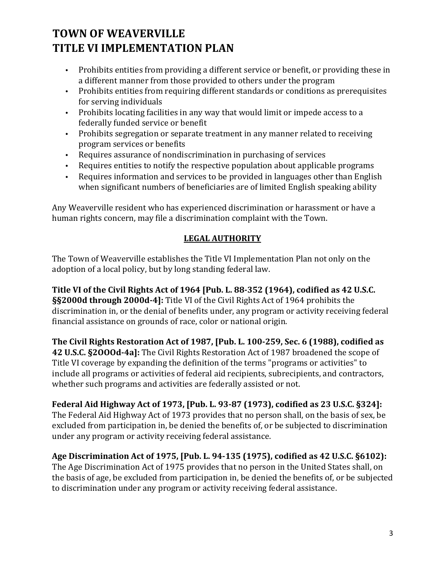- Prohibits entities from providing a different service or benefit, or providing these in a different manner from those provided to others under the program
- Prohibits entities from requiring different standards or conditions as prerequisites for serving individuals
- Prohibits locating facilities in any way that would limit or impede access to a federally funded service or benefit
- Prohibits segregation or separate treatment in any manner related to receiving program services or benefits
- Requires assurance of nondiscrimination in purchasing of services
- Requires entities to notify the respective population about applicable programs
- Requires information and services to be provided in languages other than English when significant numbers of beneficiaries are of limited English speaking ability

Any Weaverville resident who has experienced discrimination or harassment or have a human rights concern, may file a discrimination complaint with the Town.

### **LEGAL AUTHORITY**

The Town of Weaverville establishes the Title VI Implementation Plan not only on the adoption of a local policy, but by long standing federal law.

**Title VI of the Civil Rights Act of 1964 [Pub. L. 88-352 (1964), codified as 42 U.S.C. §§2000d through 2000d-4]:** Title VI of the Civil Rights Act of 1964 prohibits the discrimination in, or the denial of benefits under, any program or activity receiving federal financial assistance on grounds of race, color or national origin.

**The Civil Rights Restoration Act of 1987, [Pub. L. 100-259, Sec. 6 (1988), codified as 42 U.S.C. §2OOOd-4a]:** The Civil Rights Restoration Act of 1987 broadened the scope of Title VI coverage by expanding the definition of the terms "programs or activities" to include all programs or activities of federal aid recipients, subrecipients, and contractors, whether such programs and activities are federally assisted or not.

**Federal Aid Highway Act of 1973, [Pub. L. 93-87 (1973), codified as 23 U.S.C. §324]:** The Federal Aid Highway Act of 1973 provides that no person shall, on the basis of sex, be excluded from participation in, be denied the benefits of, or be subjected to discrimination under any program or activity receiving federal assistance.

### **Age Discrimination Act of 1975, [Pub. L. 94-135 (1975), codified as 42 U.S.C. §6102):**

The Age Discrimination Act of 1975 provides that no person in the United States shall, on the basis of age, be excluded from participation in, be denied the benefits of, or be subjected to discrimination under any program or activity receiving federal assistance.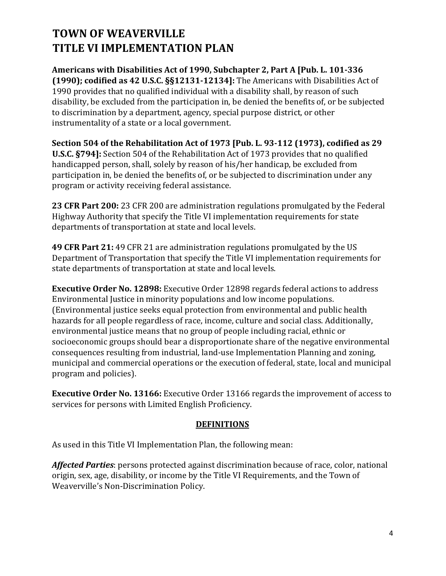**Americans with Disabilities Act of 1990, Subchapter 2, Part A [Pub. L. 101-336 (1990); codified as 42 U.S.C. §§12131-12134]:** The Americans with Disabilities Act of 1990 provides that no qualified individual with a disability shall, by reason of such disability, be excluded from the participation in, be denied the benefits of, or be subjected to discrimination by a department, agency, special purpose district, or other instrumentality of a state or a local government.

**Section 504 of the Rehabilitation Act of 1973 [Pub. L. 93-112 (1973), codified as 29 U.S.C. §794]:** Section 504 of the Rehabilitation Act of 1973 provides that no qualified handicapped person, shall, solely by reason of his/her handicap, be excluded from participation in, be denied the benefits of, or be subjected to discrimination under any program or activity receiving federal assistance.

**23 CFR Part 200:** 23 CFR 200 are administration regulations promulgated by the Federal Highway Authority that specify the Title VI implementation requirements for state departments of transportation at state and local levels.

**49 CFR Part 21:** 49 CFR 21 are administration regulations promulgated by the US Department of Transportation that specify the Title VI implementation requirements for state departments of transportation at state and local levels.

**Executive Order No. 12898:** Executive Order 12898 regards federal actions to address Environmental Justice in minority populations and low income populations. (Environmental justice seeks equal protection from environmental and public health hazards for all people regardless of race, income, culture and social class. Additionally, environmental justice means that no group of people including racial, ethnic or socioeconomic groups should bear a disproportionate share of the negative environmental consequences resulting from industrial, land-use Implementation Planning and zoning, municipal and commercial operations or the execution of federal, state, local and municipal program and policies).

**Executive Order No. 13166:** Executive Order 13166 regards the improvement of access to services for persons with Limited English Proficiency.

### **DEFINITIONS**

As used in this Title VI Implementation Plan, the following mean:

*Affected Parties*: persons protected against discrimination because of race, color, national origin, sex, age, disability, or income by the Title VI Requirements, and the Town of Weaverville's Non-Discrimination Policy.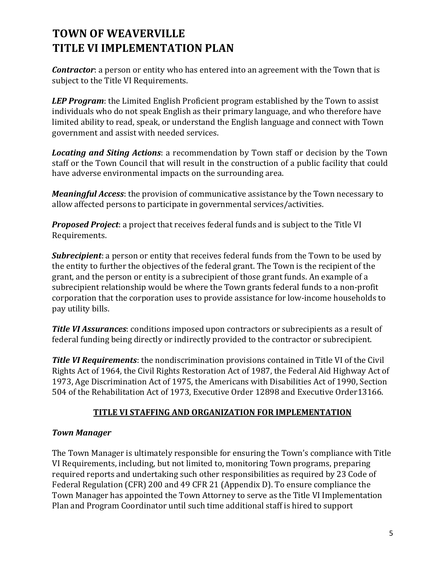*Contractor*: a person or entity who has entered into an agreement with the Town that is subject to the Title VI Requirements.

*LEP Program*: the Limited English Proficient program established by the Town to assist individuals who do not speak English as their primary language, and who therefore have limited ability to read, speak, or understand the English language and connect with Town government and assist with needed services.

*Locating and Siting Actions*: a recommendation by Town staff or decision by the Town staff or the Town Council that will result in the construction of a public facility that could have adverse environmental impacts on the surrounding area.

*Meaningful Access*: the provision of communicative assistance by the Town necessary to allow affected persons to participate in governmental services/activities.

*Proposed Project*: a project that receives federal funds and is subject to the Title VI Requirements.

*Subrecipient*: a person or entity that receives federal funds from the Town to be used by the entity to further the objectives of the federal grant. The Town is the recipient of the grant, and the person or entity is a subrecipient of those grant funds. An example of a subrecipient relationship would be where the Town grants federal funds to a non-profit corporation that the corporation uses to provide assistance for low-income households to pay utility bills.

*Title VI Assurances*: conditions imposed upon contractors or subrecipients as a result of federal funding being directly or indirectly provided to the contractor or subrecipient.

*Title VI Requirements*: the nondiscrimination provisions contained in Title VI of the Civil Rights Act of 1964, the Civil Rights Restoration Act of 1987, the Federal Aid Highway Act of 1973, Age Discrimination Act of 1975, the Americans with Disabilities Act of 1990, Section 504 of the Rehabilitation Act of 1973, Executive Order 12898 and Executive Order13166.

### **TITLE VI STAFFING AND ORGANIZATION FOR IMPLEMENTATION**

### *Town Manager*

The Town Manager is ultimately responsible for ensuring the Town's compliance with Title VI Requirements, including, but not limited to, monitoring Town programs, preparing required reports and undertaking such other responsibilities as required by 23 Code of Federal Regulation (CFR) 200 and 49 CFR 21 (Appendix D). To ensure compliance the Town Manager has appointed the Town Attorney to serve as the Title VI Implementation Plan and Program Coordinator until such time additional staff is hired to support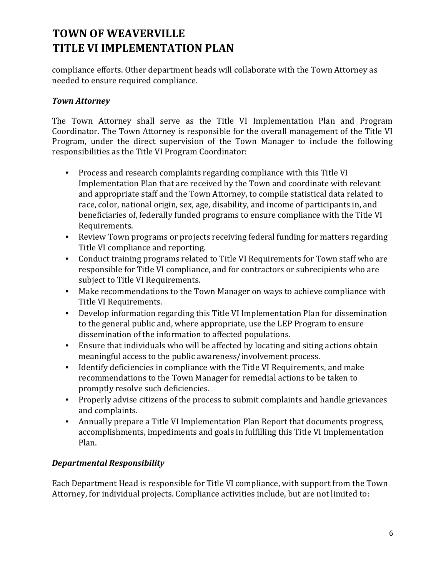compliance efforts. Other department heads will collaborate with the Town Attorney as needed to ensure required compliance.

### *Town Attorney*

The Town Attorney shall serve as the Title VI Implementation Plan and Program Coordinator. The Town Attorney is responsible for the overall management of the Title VI Program, under the direct supervision of the Town Manager to include the following responsibilities as the Title VI Program Coordinator:

- Process and research complaints regarding compliance with this Title VI Implementation Plan that are received by the Town and coordinate with relevant and appropriate staff and the Town Attorney, to compile statistical data related to race, color, national origin, sex, age, disability, and income of participants in, and beneficiaries of, federally funded programs to ensure compliance with the Title VI Requirements.
- Review Town programs or projects receiving federal funding for matters regarding Title VI compliance and reporting.
- Conduct training programs related to Title VI Requirements for Town staff who are responsible for Title VI compliance, and for contractors or subrecipients who are subject to Title VI Requirements.
- Make recommendations to the Town Manager on ways to achieve compliance with Title VI Requirements.
- Develop information regarding this Title VI Implementation Plan for dissemination to the general public and, where appropriate, use the LEP Program to ensure dissemination of the information to affected populations.
- Ensure that individuals who will be affected by locating and siting actions obtain meaningful access to the public awareness/involvement process.
- Identify deficiencies in compliance with the Title VI Requirements, and make recommendations to the Town Manager for remedial actions to be taken to promptly resolve such deficiencies.
- Properly advise citizens of the process to submit complaints and handle grievances and complaints.
- Annually prepare a Title VI Implementation Plan Report that documents progress, accomplishments, impediments and goals in fulfilling this Title VI Implementation Plan.

### *Departmental Responsibility*

Each Department Head is responsible for Title VI compliance, with support from the Town Attorney, for individual projects. Compliance activities include, but are not limited to: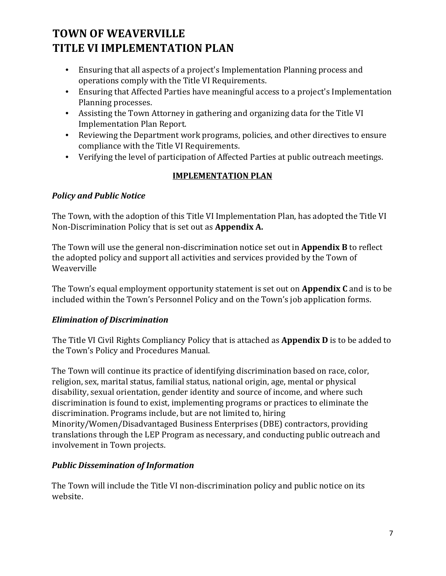- Ensuring that all aspects of a project's Implementation Planning process and operations comply with the Title VI Requirements.
- Ensuring that Affected Parties have meaningful access to a project's Implementation Planning processes.
- Assisting the Town Attorney in gathering and organizing data for the Title VI Implementation Plan Report.
- Reviewing the Department work programs, policies, and other directives to ensure compliance with the Title VI Requirements.
- Verifying the level of participation of Affected Parties at public outreach meetings.

### **IMPLEMENTATION PLAN**

### *Policy and Public Notice*

The Town, with the adoption of this Title VI Implementation Plan, has adopted the Title VI Non-Discrimination Policy that is set out as **Appendix A.**

The Town will use the general non-discrimination notice set out in **Appendix B** to reflect the adopted policy and support all activities and services provided by the Town of Weaverville

The Town's equal employment opportunity statement is set out on **Appendix C** and is to be included within the Town's Personnel Policy and on the Town's job application forms.

### *Elimination of Discrimination*

The Title VI Civil Rights Compliancy Policy that is attached as **Appendix D** is to be added to the Town's Policy and Procedures Manual.

The Town will continue its practice of identifying discrimination based on race, color, religion, sex, marital status, familial status, national origin, age, mental or physical disability, sexual orientation, gender identity and source of income, and where such discrimination is found to exist, implementing programs or practices to eliminate the discrimination. Programs include, but are not limited to, hiring Minority/Women/Disadvantaged Business Enterprises (DBE) contractors, providing translations through the LEP Program as necessary, and conducting public outreach and involvement in Town projects.

### *Public Dissemination of Information*

The Town will include the Title VI non-discrimination policy and public notice on its website.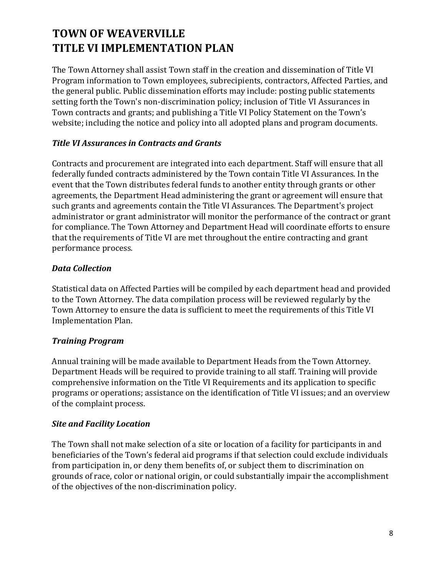The Town Attorney shall assist Town staff in the creation and dissemination of Title VI Program information to Town employees, subrecipients, contractors, Affected Parties, and the general public. Public dissemination efforts may include: posting public statements setting forth the Town's non-discrimination policy; inclusion of Title VI Assurances in Town contracts and grants; and publishing a Title VI Policy Statement on the Town's website; including the notice and policy into all adopted plans and program documents.

### *Title VI Assurances in Contracts and Grants*

Contracts and procurement are integrated into each department. Staff will ensure that all federally funded contracts administered by the Town contain Title VI Assurances. In the event that the Town distributes federal funds to another entity through grants or other agreements, the Department Head administering the grant or agreement will ensure that such grants and agreements contain the Title VI Assurances. The Department's project administrator or grant administrator will monitor the performance of the contract or grant for compliance. The Town Attorney and Department Head will coordinate efforts to ensure that the requirements of Title VI are met throughout the entire contracting and grant performance process.

#### *Data Collection*

Statistical data on Affected Parties will be compiled by each department head and provided to the Town Attorney. The data compilation process will be reviewed regularly by the Town Attorney to ensure the data is sufficient to meet the requirements of this Title VI Implementation Plan.

### *Training Program*

Annual training will be made available to Department Heads from the Town Attorney. Department Heads will be required to provide training to all staff. Training will provide comprehensive information on the Title VI Requirements and its application to specific programs or operations; assistance on the identification of Title VI issues; and an overview of the complaint process.

### *Site and Facility Location*

The Town shall not make selection of a site or location of a facility for participants in and beneficiaries of the Town's federal aid programs if that selection could exclude individuals from participation in, or deny them benefits of, or subject them to discrimination on grounds of race, color or national origin, or could substantially impair the accomplishment of the objectives of the non-discrimination policy.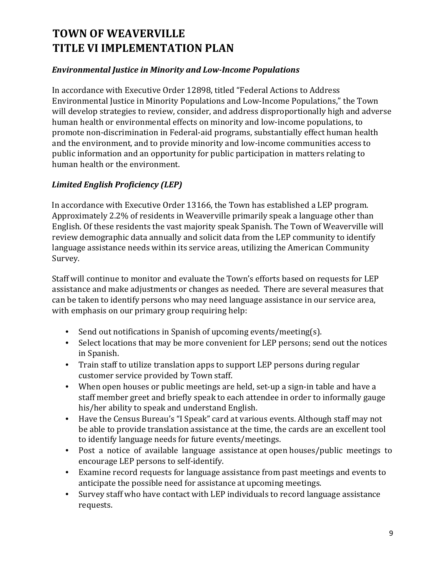### *Environmental Justice in Minority and Low-Income Populations*

In accordance with Executive Order 12898, titled "Federal Actions to Address Environmental Justice in Minority Populations and Low-Income Populations," the Town will develop strategies to review, consider, and address disproportionally high and adverse human health or environmental effects on minority and low-income populations, to promote non-discrimination in Federal-aid programs, substantially effect human health and the environment, and to provide minority and low-income communities access to public information and an opportunity for public participation in matters relating to human health or the environment.

### *Limited English Proficiency (LEP)*

In accordance with Executive Order 13166, the Town has established a LEP program. Approximately 2.2% of residents in Weaverville primarily speak a language other than English. Of these residents the vast majority speak Spanish. The Town of Weaverville will review demographic data annually and solicit data from the LEP community to identify language assistance needs within its service areas, utilizing the American Community Survey.

Staff will continue to monitor and evaluate the Town's efforts based on requests for LEP assistance and make adjustments or changes as needed. There are several measures that can be taken to identify persons who may need language assistance in our service area, with emphasis on our primary group requiring help:

- Send out notifications in Spanish of upcoming events/meeting(s).
- Select locations that may be more convenient for LEP persons; send out the notices in Spanish.
- Train staff to utilize translation apps to support LEP persons during regular customer service provided by Town staff.
- When open houses or public meetings are held, set-up a sign-in table and have a staff member greet and briefly speak to each attendee in order to informally gauge his/her ability to speak and understand English.
- Have the Census Bureau's "I Speak" card at various events. Although staff may not be able to provide translation assistance at the time, the cards are an excellent tool to identify language needs for future events/meetings.
- Post a notice of available language assistance at open houses/public meetings to encourage LEP persons to self-identify.
- Examine record requests for language assistance from past meetings and events to anticipate the possible need for assistance at upcoming meetings.
- Survey staff who have contact with LEP individuals to record language assistance requests.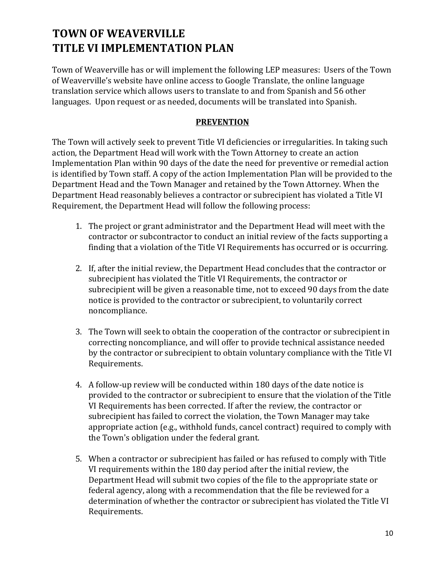Town of Weaverville has or will implement the following LEP measures: Users of the Town of Weaverville's website have online access to Google Translate, the online language translation service which allows users to translate to and from Spanish and 56 other languages. Upon request or as needed, documents will be translated into Spanish.

#### **PREVENTION**

The Town will actively seek to prevent Title VI deficiencies or irregularities. In taking such action, the Department Head will work with the Town Attorney to create an action Implementation Plan within 90 days of the date the need for preventive or remedial action is identified by Town staff. A copy of the action Implementation Plan will be provided to the Department Head and the Town Manager and retained by the Town Attorney. When the Department Head reasonably believes a contractor or subrecipient has violated a Title VI Requirement, the Department Head will follow the following process:

- 1. The project or grant administrator and the Department Head will meet with the contractor or subcontractor to conduct an initial review of the facts supporting a finding that a violation of the Title VI Requirements has occurred or is occurring.
- 2. If, after the initial review, the Department Head concludes that the contractor or subrecipient has violated the Title VI Requirements, the contractor or subrecipient will be given a reasonable time, not to exceed 90 days from the date notice is provided to the contractor or subrecipient, to voluntarily correct noncompliance.
- 3. The Town will seek to obtain the cooperation of the contractor or subrecipient in correcting noncompliance, and will offer to provide technical assistance needed by the contractor or subrecipient to obtain voluntary compliance with the Title VI Requirements.
- 4. A follow-up review will be conducted within 180 days of the date notice is provided to the contractor or subrecipient to ensure that the violation of the Title VI Requirements has been corrected. If after the review, the contractor or subrecipient has failed to correct the violation, the Town Manager may take appropriate action (e.g., withhold funds, cancel contract) required to comply with the Town's obligation under the federal grant.
- 5. When a contractor or subrecipient has failed or has refused to comply with Title VI requirements within the 180 day period after the initial review, the Department Head will submit two copies of the file to the appropriate state or federal agency, along with a recommendation that the file be reviewed for a determination of whether the contractor or subrecipient has violated the Title VI Requirements.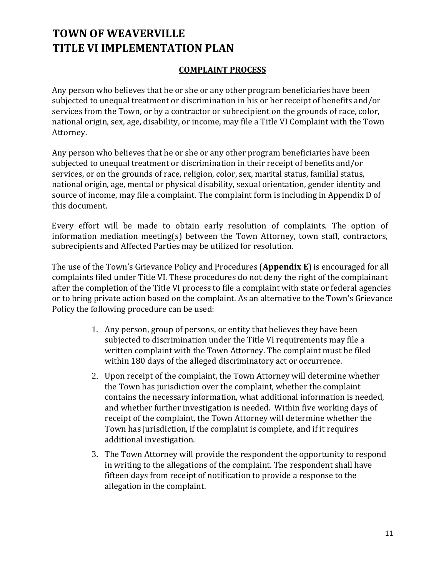### **COMPLAINT PROCESS**

Any person who believes that he or she or any other program beneficiaries have been subjected to unequal treatment or discrimination in his or her receipt of benefits and/or services from the Town, or by a contractor or subrecipient on the grounds of race, color, national origin, sex, age, disability, or income, may file a Title VI Complaint with the Town Attorney.

Any person who believes that he or she or any other program beneficiaries have been subjected to unequal treatment or discrimination in their receipt of benefits and/or services, or on the grounds of race, religion, color, sex, marital status, familial status, national origin, age, mental or physical disability, sexual orientation, gender identity and source of income, may file a complaint. The complaint form is including in Appendix D of this document.

Every effort will be made to obtain early resolution of complaints. The option of information mediation meeting(s) between the Town Attorney, town staff, contractors, subrecipients and Affected Parties may be utilized for resolution.

The use of the Town's Grievance Policy and Procedures (**Appendix E**) is encouraged for all complaints filed under Title VI. These procedures do not deny the right of the complainant after the completion of the Title VI process to file a complaint with state or federal agencies or to bring private action based on the complaint. As an alternative to the Town's Grievance Policy the following procedure can be used:

- 1. Any person, group of persons, or entity that believes they have been subjected to discrimination under the Title VI requirements may file a written complaint with the Town Attorney. The complaint must be filed within 180 days of the alleged discriminatory act or occurrence.
- 2. Upon receipt of the complaint, the Town Attorney will determine whether the Town has jurisdiction over the complaint, whether the complaint contains the necessary information, what additional information is needed, and whether further investigation is needed. Within five working days of receipt of the complaint, the Town Attorney will determine whether the Town has jurisdiction, if the complaint is complete, and if it requires additional investigation.
- 3. The Town Attorney will provide the respondent the opportunity to respond in writing to the allegations of the complaint. The respondent shall have fifteen days from receipt of notification to provide a response to the allegation in the complaint.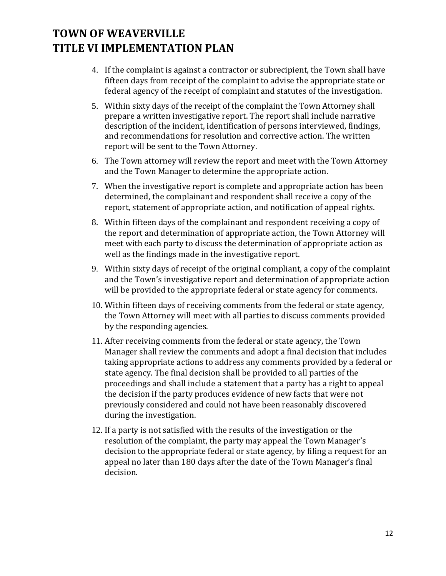- 4. If the complaint is against a contractor or subrecipient, the Town shall have fifteen days from receipt of the complaint to advise the appropriate state or federal agency of the receipt of complaint and statutes of the investigation.
- 5. Within sixty days of the receipt of the complaint the Town Attorney shall prepare a written investigative report. The report shall include narrative description of the incident, identification of persons interviewed, findings, and recommendations for resolution and corrective action. The written report will be sent to the Town Attorney.
- 6. The Town attorney will review the report and meet with the Town Attorney and the Town Manager to determine the appropriate action.
- 7. When the investigative report is complete and appropriate action has been determined, the complainant and respondent shall receive a copy of the report, statement of appropriate action, and notification of appeal rights.
- 8. Within fifteen days of the complainant and respondent receiving a copy of the report and determination of appropriate action, the Town Attorney will meet with each party to discuss the determination of appropriate action as well as the findings made in the investigative report.
- 9. Within sixty days of receipt of the original compliant, a copy of the complaint and the Town's investigative report and determination of appropriate action will be provided to the appropriate federal or state agency for comments.
- 10. Within fifteen days of receiving comments from the federal or state agency, the Town Attorney will meet with all parties to discuss comments provided by the responding agencies.
- 11. After receiving comments from the federal or state agency, the Town Manager shall review the comments and adopt a final decision that includes taking appropriate actions to address any comments provided by a federal or state agency. The final decision shall be provided to all parties of the proceedings and shall include a statement that a party has a right to appeal the decision if the party produces evidence of new facts that were not previously considered and could not have been reasonably discovered during the investigation.
- 12. If a party is not satisfied with the results of the investigation or the resolution of the complaint, the party may appeal the Town Manager's decision to the appropriate federal or state agency, by filing a request for an appeal no later than 180 days after the date of the Town Manager's final decision.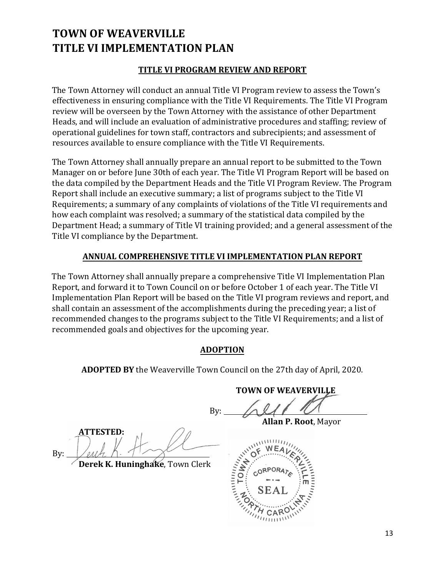#### **TITLE VI PROGRAM REVIEW AND REPORT**

The Town Attorney will conduct an annual Title VI Program review to assess the Town's effectiveness in ensuring compliance with the Title VI Requirements. The Title VI Program review will be overseen by the Town Attorney with the assistance of other Department Heads, and will include an evaluation of administrative procedures and staffing; review of operational guidelines for town staff, contractors and subrecipients; and assessment of resources available to ensure compliance with the Title VI Requirements.

The Town Attorney shall annually prepare an annual report to be submitted to the Town Manager on or before June 30th of each year. The Title VI Program Report will be based on the data compiled by the Department Heads and the Title VI Program Review. The Program Report shall include an executive summary; a list of programs subject to the Title VI Requirements; a summary of any complaints of violations of the Title VI requirements and how each complaint was resolved; a summary of the statistical data compiled by the Department Head; a summary of Title VI training provided; and a general assessment of the Title VI compliance by the Department.

#### **ANNUAL COMPREHENSIVE TITLE VI IMPLEMENTATION PLAN REPORT**

The Town Attorney shall annually prepare a comprehensive Title VI Implementation Plan Report, and forward it to Town Council on or before October 1 of each year. The Title VI Implementation Plan Report will be based on the Title VI program reviews and report, and shall contain an assessment of the accomplishments during the preceding year; a list of recommended changes to the programs subject to the Title VI Requirements; and a list of recommended goals and objectives for the upcoming year.

#### **ADOPTION**

**ADOPTED BY** the Weaverville Town Council on the 27th day of April, 2020.

**TOWN OF WEAVERVILLE**

By:

**ATTESTED:** By:

**Derek K. Huninghake**, Town Clerk

**Allan P. Root**, Mayor

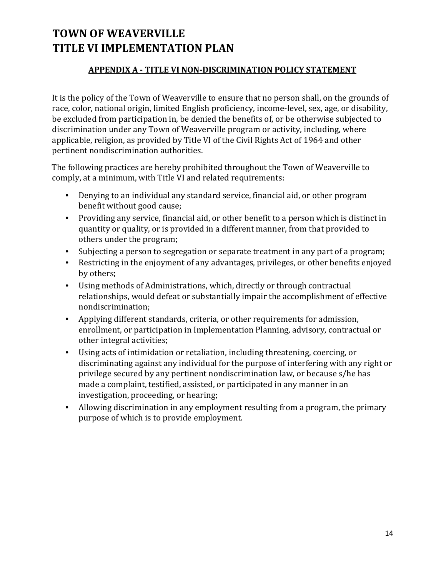### **APPENDIX A - TITLE VI NON-DISCRIMINATION POLICY STATEMENT**

It is the policy of the Town of Weaverville to ensure that no person shall, on the grounds of race, color, national origin, limited English proficiency, income-level, sex, age, or disability, be excluded from participation in, be denied the benefits of, or be otherwise subjected to discrimination under any Town of Weaverville program or activity, including, where applicable, religion, as provided by Title VI of the Civil Rights Act of 1964 and other pertinent nondiscrimination authorities.

The following practices are hereby prohibited throughout the Town of Weaverville to comply, at a minimum, with Title VI and related requirements:

- Denying to an individual any standard service, financial aid, or other program benefit without good cause;
- Providing any service, financial aid, or other benefit to a person which is distinct in quantity or quality, or is provided in a different manner, from that provided to others under the program;
- Subjecting a person to segregation or separate treatment in any part of a program;
- Restricting in the enjoyment of any advantages, privileges, or other benefits enjoyed by others;
- Using methods of Administrations, which, directly or through contractual relationships, would defeat or substantially impair the accomplishment of effective nondiscrimination;
- Applying different standards, criteria, or other requirements for admission, enrollment, or participation in Implementation Planning, advisory, contractual or other integral activities;
- Using acts of intimidation or retaliation, including threatening, coercing, or discriminating against any individual for the purpose of interfering with any right or privilege secured by any pertinent nondiscrimination law, or because s/he has made a complaint, testified, assisted, or participated in any manner in an investigation, proceeding, or hearing;
- Allowing discrimination in any employment resulting from a program, the primary purpose of which is to provide employment.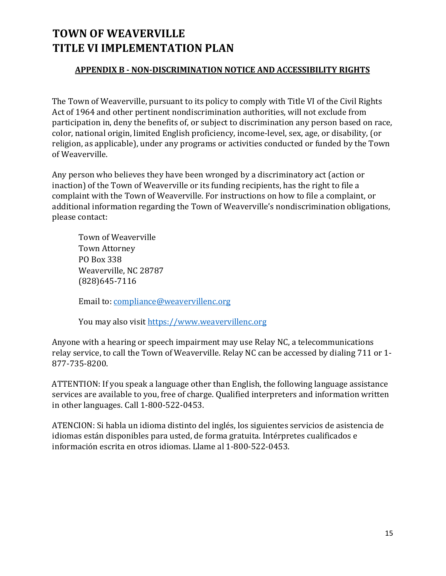### **APPENDIX B - NON-DISCRIMINATION NOTICE AND ACCESSIBILITY RIGHTS**

The Town of Weaverville, pursuant to its policy to comply with Title VI of the Civil Rights Act of 1964 and other pertinent nondiscrimination authorities, will not exclude from participation in, deny the benefits of, or subject to discrimination any person based on race, color, national origin, limited English proficiency, income-level, sex, age, or disability, (or religion, as applicable), under any programs or activities conducted or funded by the Town of Weaverville.

Any person who believes they have been wronged by a discriminatory act (action or inaction) of the Town of Weaverville or its funding recipients, has the right to file a complaint with the Town of Weaverville. For instructions on how to file a complaint, or additional information regarding the Town of Weaverville's nondiscrimination obligations, please contact:

Town of Weaverville Town Attorney PO Box 338 Weaverville, NC 28787 (828)645-7116

Email to: compliance@weavervillenc.org

You may also visit https://www.weavervillenc.org

Anyone with a hearing or speech impairment may use Relay NC, a telecommunications relay service, to call the Town of Weaverville. Relay NC can be accessed by dialing 711 or 1- 877-735-8200.

ATTENTION: If you speak a language other than English, the following language assistance services are available to you, free of charge. Qualified interpreters and information written in other languages. Call 1-800-522-0453.

ATENCION: Si habla un idioma distinto del inglés, los siguientes servicios de asistencia de idiomas están disponibles para usted, de forma gratuita. Intérpretes cualificados e información escrita en otros idiomas. Llame al 1-800-522-0453.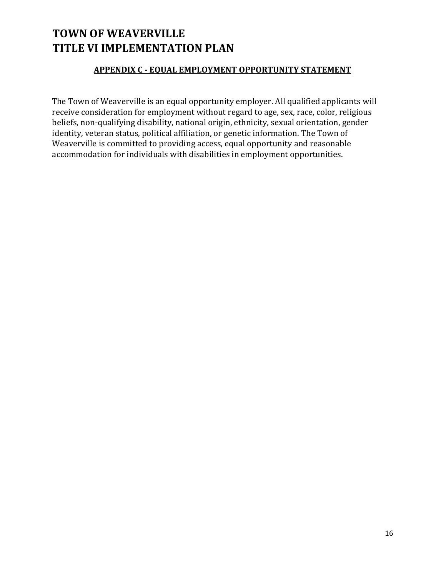### **APPENDIX C - EQUAL EMPLOYMENT OPPORTUNITY STATEMENT**

The Town of Weaverville is an equal opportunity employer. All qualified applicants will receive consideration for employment without regard to age, sex, race, color, religious beliefs, non-qualifying disability, national origin, ethnicity, sexual orientation, gender identity, veteran status, political affiliation, or genetic information. The Town of Weaverville is committed to providing access, equal opportunity and reasonable accommodation for individuals with disabilities in employment opportunities.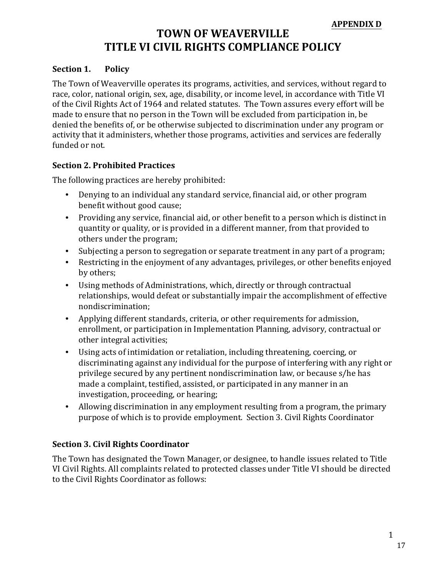### **TOWN OF WEAVERVILLE TITLE VI CIVIL RIGHTS COMPLIANCE POLICY**

#### **Section 1. Policy**

The Town of Weaverville operates its programs, activities, and services, without regard to race, color, national origin, sex, age, disability, or income level, in accordance with Title VI of the Civil Rights Act of 1964 and related statutes. The Town assures every effort will be made to ensure that no person in the Town will be excluded from participation in, be denied the benefits of, or be otherwise subjected to discrimination under any program or activity that it administers, whether those programs, activities and services are federally funded or not.

#### **Section 2. Prohibited Practices**

The following practices are hereby prohibited:

- Denying to an individual any standard service, financial aid, or other program benefit without good cause;
- Providing any service, financial aid, or other benefit to a person which is distinct in quantity or quality, or is provided in a different manner, from that provided to others under the program;
- Subjecting a person to segregation or separate treatment in any part of a program;
- Restricting in the enjoyment of any advantages, privileges, or other benefits enjoyed by others;
- Using methods of Administrations, which, directly or through contractual relationships, would defeat or substantially impair the accomplishment of effective nondiscrimination;
- Applying different standards, criteria, or other requirements for admission, enrollment, or participation in Implementation Planning, advisory, contractual or other integral activities;
- Using acts of intimidation or retaliation, including threatening, coercing, or discriminating against any individual for the purpose of interfering with any right or privilege secured by any pertinent nondiscrimination law, or because s/he has made a complaint, testified, assisted, or participated in any manner in an investigation, proceeding, or hearing;
- Allowing discrimination in any employment resulting from a program, the primary purpose of which is to provide employment. Section 3. Civil Rights Coordinator

#### **Section 3. Civil Rights Coordinator**

The Town has designated the Town Manager, or designee, to handle issues related to Title VI Civil Rights. All complaints related to protected classes under Title VI should be directed to the Civil Rights Coordinator as follows: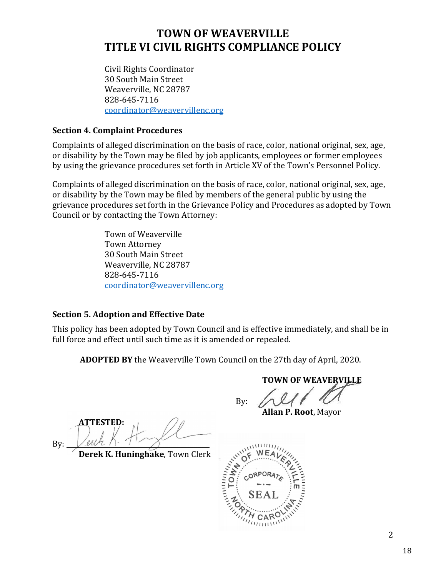### **TOWN OF WEAVERVILLE TITLE VI CIVIL RIGHTS COMPLIANCE POLICY**

Civil Rights Coordinator 30 South Main Street Weaverville, NC 28787 828-645-7116 coordinator@weavervillenc.org

#### **Section 4. Complaint Procedures**

Complaints of alleged discrimination on the basis of race, color, national original, sex, age, or disability by the Town may be filed by job applicants, employees or former employees by using the grievance procedures set forth in Article XV of the Town's Personnel Policy.

Complaints of alleged discrimination on the basis of race, color, national original, sex, age, or disability by the Town may be filed by members of the general public by using the grievance procedures set forth in the Grievance Policy and Procedures as adopted by Town Council or by contacting the Town Attorney:

> Town of Weaverville Town Attorney 30 South Main Street Weaverville, NC 28787 828-645-7116 coordinator@weavervillenc.org

### **Section 5. Adoption and Effective Date**

This policy has been adopted by Town Council and is effective immediately, and shall be in full force and effect until such time as it is amended or repealed.

**ADOPTED BY** the Weaverville Town Council on the 27th day of April, 2020.

By:

**TOWN OF WEAVERVILLE**

**Allan P. Root**, Mayor

**ATTESTED:** By:

**Derek K. Huninghake**, Town Clerk

ANTITUDITY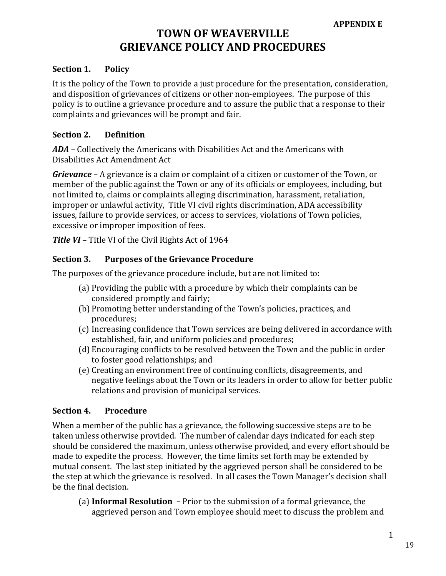### **TOWN OF WEAVERVILLE GRIEVANCE POLICY AND PROCEDURES**

#### **Section 1. Policy**

It is the policy of the Town to provide a just procedure for the presentation, consideration, and disposition of grievances of citizens or other non-employees. The purpose of this policy is to outline a grievance procedure and to assure the public that a response to their complaints and grievances will be prompt and fair.

#### **Section 2. Definition**

*ADA –* Collectively the Americans with Disabilities Act and the Americans with Disabilities Act Amendment Act

*Grievance* – A grievance is a claim or complaint of a citizen or customer of the Town, or member of the public against the Town or any of its officials or employees, including, but not limited to, claims or complaints alleging discrimination, harassment, retaliation, improper or unlawful activity, Title VI civil rights discrimination, ADA accessibility issues, failure to provide services, or access to services, violations of Town policies, excessive or improper imposition of fees.

*Title VI –* Title VI of the Civil Rights Act of 1964

#### **Section 3. Purposes of the Grievance Procedure**

The purposes of the grievance procedure include, but are not limited to:

- (a) Providing the public with a procedure by which their complaints can be considered promptly and fairly;
- (b) Promoting better understanding of the Town's policies, practices, and procedures;
- (c) Increasing confidence that Town services are being delivered in accordance with established, fair, and uniform policies and procedures;
- (d) Encouraging conflicts to be resolved between the Town and the public in order to foster good relationships; and
- (e) Creating an environment free of continuing conflicts, disagreements, and negative feelings about the Town or its leaders in order to allow for better public relations and provision of municipal services.

#### **Section 4. Procedure**

When a member of the public has a grievance, the following successive steps are to be taken unless otherwise provided. The number of calendar days indicated for each step should be considered the maximum, unless otherwise provided, and every effort should be made to expedite the process. However, the time limits set forth may be extended by mutual consent. The last step initiated by the aggrieved person shall be considered to be the step at which the grievance is resolved. In all cases the Town Manager's decision shall be the final decision.

(a) **Informal Resolution –** Prior to the submission of a formal grievance, the aggrieved person and Town employee should meet to discuss the problem and

1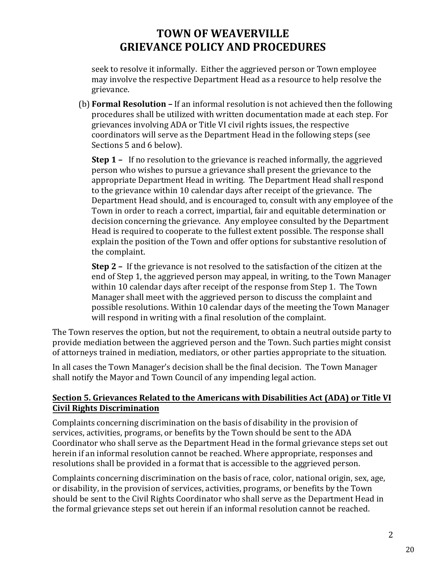### **TOWN OF WEAVERVILLE GRIEVANCE POLICY AND PROCEDURES**

seek to resolve it informally. Either the aggrieved person or Town employee may involve the respective Department Head as a resource to help resolve the grievance.

(b) **Formal Resolution –** If an informal resolution is not achieved then the following procedures shall be utilized with written documentation made at each step. For grievances involving ADA or Title VI civil rights issues, the respective coordinators will serve as the Department Head in the following steps (see Sections 5 and 6 below).

**Step 1 –** If no resolution to the grievance is reached informally, the aggrieved person who wishes to pursue a grievance shall present the grievance to the appropriate Department Head in writing. The Department Head shall respond to the grievance within 10 calendar days after receipt of the grievance. The Department Head should, and is encouraged to, consult with any employee of the Town in order to reach a correct, impartial, fair and equitable determination or decision concerning the grievance. Any employee consulted by the Department Head is required to cooperate to the fullest extent possible. The response shall explain the position of the Town and offer options for substantive resolution of the complaint.

**Step 2 –** If the grievance is not resolved to the satisfaction of the citizen at the end of Step 1, the aggrieved person may appeal, in writing, to the Town Manager within 10 calendar days after receipt of the response from Step 1. The Town Manager shall meet with the aggrieved person to discuss the complaint and possible resolutions. Within 10 calendar days of the meeting the Town Manager will respond in writing with a final resolution of the complaint.

The Town reserves the option, but not the requirement, to obtain a neutral outside party to provide mediation between the aggrieved person and the Town. Such parties might consist of attorneys trained in mediation, mediators, or other parties appropriate to the situation.

In all cases the Town Manager's decision shall be the final decision. The Town Manager shall notify the Mayor and Town Council of any impending legal action.

### **Section 5. Grievances Related to the Americans with Disabilities Act (ADA) or Title VI Civil Rights Discrimination**

Complaints concerning discrimination on the basis of disability in the provision of services, activities, programs, or benefits by the Town should be sent to the ADA Coordinator who shall serve as the Department Head in the formal grievance steps set out herein if an informal resolution cannot be reached. Where appropriate, responses and resolutions shall be provided in a format that is accessible to the aggrieved person.

Complaints concerning discrimination on the basis of race, color, national origin, sex, age, or disability, in the provision of services, activities, programs, or benefits by the Town should be sent to the Civil Rights Coordinator who shall serve as the Department Head in the formal grievance steps set out herein if an informal resolution cannot be reached.

2